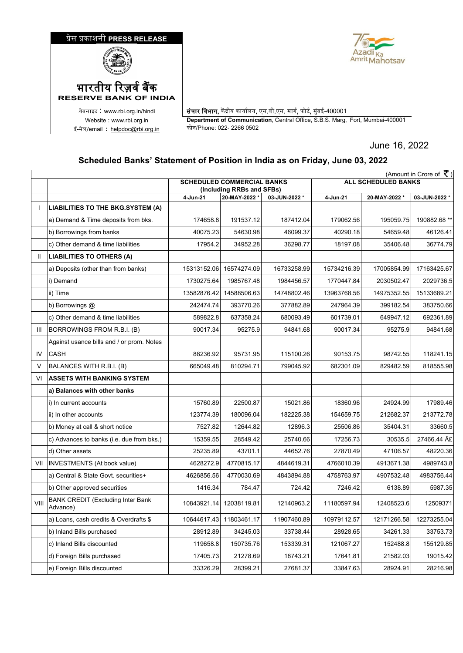



.वेबसाइट : www.rbi.org.in/hindi <mark>संचार विभाग,</mark> केंद्रीय कार्यालय, एस.बी.एस. मार्ग, फोर्ट, मुंबई-400001 Website : www.rbi.org.in **Department of Communication**, Central Office, S.B.S. Marg, Fort, Mumbai-400001<br>ल/email : helpdoc@rbi.org.in फोन/Phone: 022- 2266 0502

June 16, 2022

## **Scheduled Banks' Statement of Position in India as on Friday, June 03, 2022**

|                | (Amount in Crore of $\bar{\tau}$ )                   |                                                                |              |               |                            |               |              |  |  |
|----------------|------------------------------------------------------|----------------------------------------------------------------|--------------|---------------|----------------------------|---------------|--------------|--|--|
|                |                                                      | <b>SCHEDULED COMMERCIAL BANKS</b><br>(Including RRBs and SFBs) |              |               | <b>ALL SCHEDULED BANKS</b> |               |              |  |  |
|                |                                                      | 4-Jun-21                                                       | 20-MAY-2022* | 03-JUN-2022 * | 4-Jun-21                   | 20-MAY-2022 * | 03-JUN-2022* |  |  |
|                | LIABILITIES TO THE BKG.SYSTEM (A)                    |                                                                |              |               |                            |               |              |  |  |
|                | a) Demand & Time deposits from bks.                  | 174658.8                                                       | 191537.12    | 187412.04     | 179062.56                  | 195059.75     | 190882.68 ** |  |  |
|                | b) Borrowings from banks                             | 40075.23                                                       | 54630.98     | 46099.37      | 40290.18                   | 54659.48      | 46126.41     |  |  |
|                | c) Other demand & time liabilities                   | 17954.2                                                        | 34952.28     | 36298.77      | 18197.08                   | 35406.48      | 36774.79     |  |  |
| $\mathbf{H}$   | <b>LIABILITIES TO OTHERS (A)</b>                     |                                                                |              |               |                            |               |              |  |  |
|                | a) Deposits (other than from banks)                  | 15313152.06                                                    | 16574274.09  | 16733258.99   | 15734216.39                | 17005854.99   | 17163425.67  |  |  |
|                | i) Demand                                            | 1730275.64                                                     | 1985767.48   | 1984456.57    | 1770447.84                 | 2030502.47    | 2029736.5    |  |  |
|                | ii) Time                                             | 13582876.42                                                    | 14588506.63  | 14748802.46   | 13963768.56                | 14975352.55   | 15133689.21  |  |  |
|                | b) Borrowings @                                      | 242474.74                                                      | 393770.26    | 377882.89     | 247964.39                  | 399182.54     | 383750.66    |  |  |
|                | c) Other demand & time liabilities                   | 589822.8                                                       | 637358.24    | 680093.49     | 601739.01                  | 649947.12     | 692361.89    |  |  |
| $\mathbf{III}$ | BORROWINGS FROM R.B.I. (B)                           | 90017.34                                                       | 95275.9      | 94841.68      | 90017.34                   | 95275.9       | 94841.68     |  |  |
|                | Against usance bills and / or prom. Notes            |                                                                |              |               |                            |               |              |  |  |
| IV             | <b>CASH</b>                                          | 88236.92                                                       | 95731.95     | 115100.26     | 90153.75                   | 98742.55      | 118241.15    |  |  |
| $\vee$         | BALANCES WITH R.B.I. (B)                             | 665049.48                                                      | 810294.71    | 799045.92     | 682301.09                  | 829482.59     | 818555.98    |  |  |
| VI             | <b>ASSETS WITH BANKING SYSTEM</b>                    |                                                                |              |               |                            |               |              |  |  |
|                | a) Balances with other banks                         |                                                                |              |               |                            |               |              |  |  |
|                | i) In current accounts                               | 15760.89                                                       | 22500.87     | 15021.86      | 18360.96                   | 24924.99      | 17989.46     |  |  |
|                | ii) In other accounts                                | 123774.39                                                      | 180096.04    | 182225.38     | 154659.75                  | 212682.37     | 213772.78    |  |  |
|                | b) Money at call & short notice                      | 7527.82                                                        | 12644.82     | 12896.3       | 25506.86                   | 35404.31      | 33660.5      |  |  |
|                | c) Advances to banks (i.e. due from bks.)            | 15359.55                                                       | 28549.42     | 25740.66      | 17256.73                   | 30535.5       | 27466.44 A£  |  |  |
|                | d) Other assets                                      | 25235.89                                                       | 43701.1      | 44652.76      | 27870.49                   | 47106.57      | 48220.36     |  |  |
| VII            | <b>INVESTMENTS</b> (At book value)                   | 4628272.9                                                      | 4770815.17   | 4844619.31    | 4766010.39                 | 4913671.38    | 4989743.8    |  |  |
|                | a) Central & State Govt. securities+                 | 4626856.56                                                     | 4770030.69   | 4843894.88    | 4758763.97                 | 4907532.48    | 4983756.44   |  |  |
|                | b) Other approved securities                         | 1416.34                                                        | 784.47       | 724.42        | 7246.42                    | 6138.89       | 5987.35      |  |  |
| VIII           | <b>BANK CREDIT (Excluding Inter Bank</b><br>Advance) | 10843921.14                                                    | 12038119.81  | 12140963.2    | 11180597.94                | 12408523.6    | 12509371     |  |  |
|                | a) Loans, cash credits & Overdrafts \$               | 10644617.43                                                    | 11803461.17  | 11907460.89   | 10979112.57                | 12171266.58   | 12273255.04  |  |  |
|                | b) Inland Bills purchased                            | 28912.89                                                       | 34245.03     | 33738.44      | 28928.65                   | 34261.33      | 33753.73     |  |  |
|                | c) Inland Bills discounted                           | 119658.8                                                       | 150735.76    | 153339.31     | 121067.27                  | 152488.8      | 155129.85    |  |  |
|                | d) Foreign Bills purchased                           | 17405.73                                                       | 21278.69     | 18743.21      | 17641.81                   | 21582.03      | 19015.42     |  |  |
|                | e) Foreign Bills discounted                          | 33326.29                                                       | 28399.21     | 27681.37      | 33847.63                   | 28924.91      | 28216.98     |  |  |